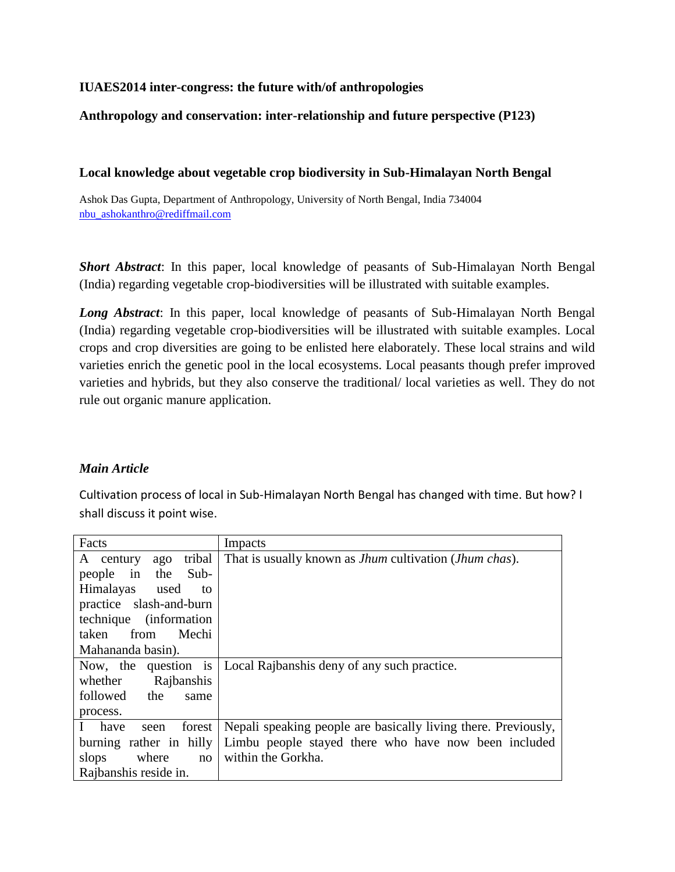### **IUAES2014 inter-congress: the future with/of anthropologies**

### **Anthropology and conservation: inter-relationship and future perspective (P123)**

#### **Local knowledge about vegetable crop biodiversity in Sub-Himalayan North Bengal**

Ashok Das Gupta, Department of Anthropology, University of North Bengal, India 734004 [nbu\\_ashokanthro@rediffmail.com](mailto:nbu_ashokanthro@rediffmail.com)

*Short Abstract*: In this paper, local knowledge of peasants of Sub-Himalayan North Bengal (India) regarding vegetable crop-biodiversities will be illustrated with suitable examples.

*Long Abstract*: In this paper, local knowledge of peasants of Sub-Himalayan North Bengal (India) regarding vegetable crop-biodiversities will be illustrated with suitable examples. Local crops and crop diversities are going to be enlisted here elaborately. These local strains and wild varieties enrich the genetic pool in the local ecosystems. Local peasants though prefer improved varieties and hybrids, but they also conserve the traditional/ local varieties as well. They do not rule out organic manure application.

### *Main Article*

Cultivation process of local in Sub-Himalayan North Bengal has changed with time. But how? I shall discuss it point wise.

| Facts                      | Impacts                                                                |
|----------------------------|------------------------------------------------------------------------|
| tribal<br>A century<br>ago | That is usually known as <i>Jhum</i> cultivation ( <i>Jhum chas</i> ). |
| the Sub-<br>people in      |                                                                        |
| Himalayas<br>used<br>to    |                                                                        |
| practice slash-and-burn    |                                                                        |
| technique (information)    |                                                                        |
| Mechi<br>from<br>taken     |                                                                        |
| Mahananda basin).          |                                                                        |
| Now, the question is       | Local Rajbanshis deny of any such practice.                            |
| Rajbanshis<br>whether      |                                                                        |
| followed the<br>same       |                                                                        |
| process.                   |                                                                        |
| I have<br>forest<br>seen   | Nepali speaking people are basically living there. Previously,         |
| burning rather in hilly    | Limbu people stayed there who have now been included                   |
| slops where<br>no          | within the Gorkha.                                                     |
| Rajbanshis reside in.      |                                                                        |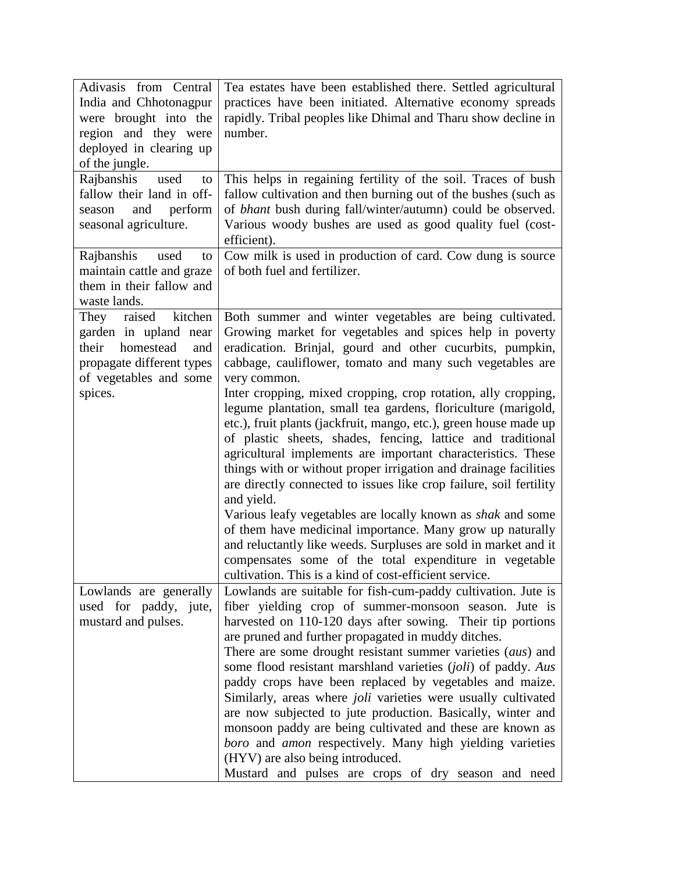| Adivasis from Central<br>India and Chhotonagpur<br>were brought into the<br>region and they were<br>deployed in clearing up<br>of the jungle.<br>Rajbanshis<br>used<br>to<br>fallow their land in off-<br>and<br>perform<br>season<br>seasonal agriculture.<br>Rajbanshis<br>used<br>to | Tea estates have been established there. Settled agricultural<br>practices have been initiated. Alternative economy spreads<br>rapidly. Tribal peoples like Dhimal and Tharu show decline in<br>number.<br>This helps in regaining fertility of the soil. Traces of bush<br>fallow cultivation and then burning out of the bushes (such as<br>of <i>bhant</i> bush during fall/winter/autumn) could be observed.<br>Various woody bushes are used as good quality fuel (cost-<br>efficient).<br>Cow milk is used in production of card. Cow dung is source                                                                                                                                                                                                                                                                                                                                                                                                                                                                                                                     |
|-----------------------------------------------------------------------------------------------------------------------------------------------------------------------------------------------------------------------------------------------------------------------------------------|--------------------------------------------------------------------------------------------------------------------------------------------------------------------------------------------------------------------------------------------------------------------------------------------------------------------------------------------------------------------------------------------------------------------------------------------------------------------------------------------------------------------------------------------------------------------------------------------------------------------------------------------------------------------------------------------------------------------------------------------------------------------------------------------------------------------------------------------------------------------------------------------------------------------------------------------------------------------------------------------------------------------------------------------------------------------------------|
| maintain cattle and graze<br>them in their fallow and<br>waste lands.                                                                                                                                                                                                                   | of both fuel and fertilizer.                                                                                                                                                                                                                                                                                                                                                                                                                                                                                                                                                                                                                                                                                                                                                                                                                                                                                                                                                                                                                                                   |
| kitchen<br>raised<br>They<br>garden in upland near<br>their homestead<br>and<br>propagate different types<br>of vegetables and some<br>spices.                                                                                                                                          | Both summer and winter vegetables are being cultivated.<br>Growing market for vegetables and spices help in poverty<br>eradication. Brinjal, gourd and other cucurbits, pumpkin,<br>cabbage, cauliflower, tomato and many such vegetables are<br>very common.<br>Inter cropping, mixed cropping, crop rotation, ally cropping,<br>legume plantation, small tea gardens, floriculture (marigold,<br>etc.), fruit plants (jackfruit, mango, etc.), green house made up<br>of plastic sheets, shades, fencing, lattice and traditional<br>agricultural implements are important characteristics. These<br>things with or without proper irrigation and drainage facilities<br>are directly connected to issues like crop failure, soil fertility<br>and yield.<br>Various leafy vegetables are locally known as shak and some<br>of them have medicinal importance. Many grow up naturally<br>and reluctantly like weeds. Surpluses are sold in market and it<br>compensates some of the total expenditure in vegetable<br>cultivation. This is a kind of cost-efficient service. |
| Lowlands are generally<br>used for paddy, jute,<br>mustard and pulses.                                                                                                                                                                                                                  | Lowlands are suitable for fish-cum-paddy cultivation. Jute is<br>fiber yielding crop of summer-monsoon season. Jute is<br>harvested on 110-120 days after sowing. Their tip portions<br>are pruned and further propagated in muddy ditches.<br>There are some drought resistant summer varieties (aus) and<br>some flood resistant marshland varieties (joli) of paddy. Aus<br>paddy crops have been replaced by vegetables and maize.<br>Similarly, areas where <i>joli</i> varieties were usually cultivated<br>are now subjected to jute production. Basically, winter and<br>monsoon paddy are being cultivated and these are known as<br>boro and amon respectively. Many high yielding varieties<br>(HYV) are also being introduced.<br>Mustard and pulses are crops of dry season and need                                                                                                                                                                                                                                                                              |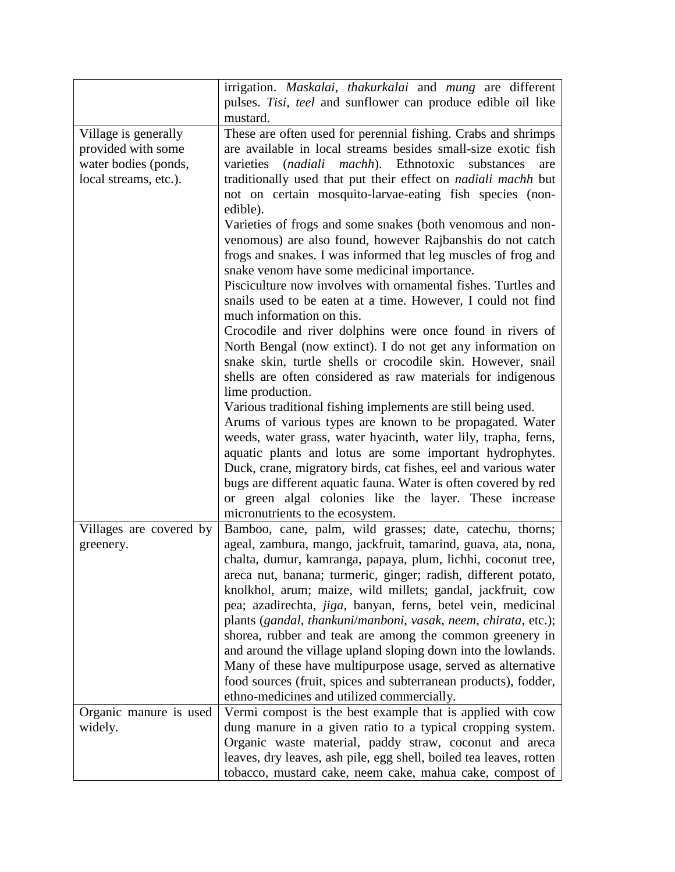|                         | irrigation. Maskalai, thakurkalai and mung are different             |
|-------------------------|----------------------------------------------------------------------|
|                         | pulses. Tisi, teel and sunflower can produce edible oil like         |
|                         | mustard.                                                             |
| Village is generally    | These are often used for perennial fishing. Crabs and shrimps        |
| provided with some      | are available in local streams besides small-size exotic fish        |
| water bodies (ponds,    | varieties (nadiali machh). Ethnotoxic substances<br>are              |
| local streams, etc.).   | traditionally used that put their effect on <i>nadiali machh</i> but |
|                         | not on certain mosquito-larvae-eating fish species (non-             |
|                         | edible).                                                             |
|                         | Varieties of frogs and some snakes (both venomous and non-           |
|                         | venomous) are also found, however Rajbanshis do not catch            |
|                         | frogs and snakes. I was informed that leg muscles of frog and        |
|                         | snake venom have some medicinal importance.                          |
|                         | Pisciculture now involves with ornamental fishes. Turtles and        |
|                         | snails used to be eaten at a time. However, I could not find         |
|                         | much information on this.                                            |
|                         | Crocodile and river dolphins were once found in rivers of            |
|                         | North Bengal (now extinct). I do not get any information on          |
|                         | snake skin, turtle shells or crocodile skin. However, snail          |
|                         | shells are often considered as raw materials for indigenous          |
|                         | lime production.                                                     |
|                         | Various traditional fishing implements are still being used.         |
|                         | Arums of various types are known to be propagated. Water             |
|                         | weeds, water grass, water hyacinth, water lily, trapha, ferns,       |
|                         | aquatic plants and lotus are some important hydrophytes.             |
|                         |                                                                      |
|                         | Duck, crane, migratory birds, cat fishes, eel and various water      |
|                         | bugs are different aquatic fauna. Water is often covered by red      |
|                         | or green algal colonies like the layer. These increase               |
|                         | micronutrients to the ecosystem.                                     |
| Villages are covered by | Bamboo, cane, palm, wild grasses; date, catechu, thorns;             |
| greenery.               | ageal, zambura, mango, jackfruit, tamarind, guava, ata, nona,        |
|                         | chalta, dumur, kamranga, papaya, plum, lichhi, coconut tree,         |
|                         | areca nut, banana; turmeric, ginger; radish, different potato,       |
|                         | knolkhol, arum; maize, wild millets; gandal, jackfruit, cow          |
|                         | pea; azadirechta, jiga, banyan, ferns, betel vein, medicinal         |
|                         | plants (gandal, thankuni/manboni, vasak, neem, chirata, etc.);       |
|                         | shorea, rubber and teak are among the common greenery in             |
|                         | and around the village upland sloping down into the lowlands.        |
|                         | Many of these have multipurpose usage, served as alternative         |
|                         | food sources (fruit, spices and subterranean products), fodder,      |
|                         | ethno-medicines and utilized commercially.                           |
| Organic manure is used  | Vermi compost is the best example that is applied with cow           |
| widely.                 | dung manure in a given ratio to a typical cropping system.           |
|                         | Organic waste material, paddy straw, coconut and areca               |
|                         | leaves, dry leaves, ash pile, egg shell, boiled tea leaves, rotten   |
|                         | tobacco, mustard cake, neem cake, mahua cake, compost of             |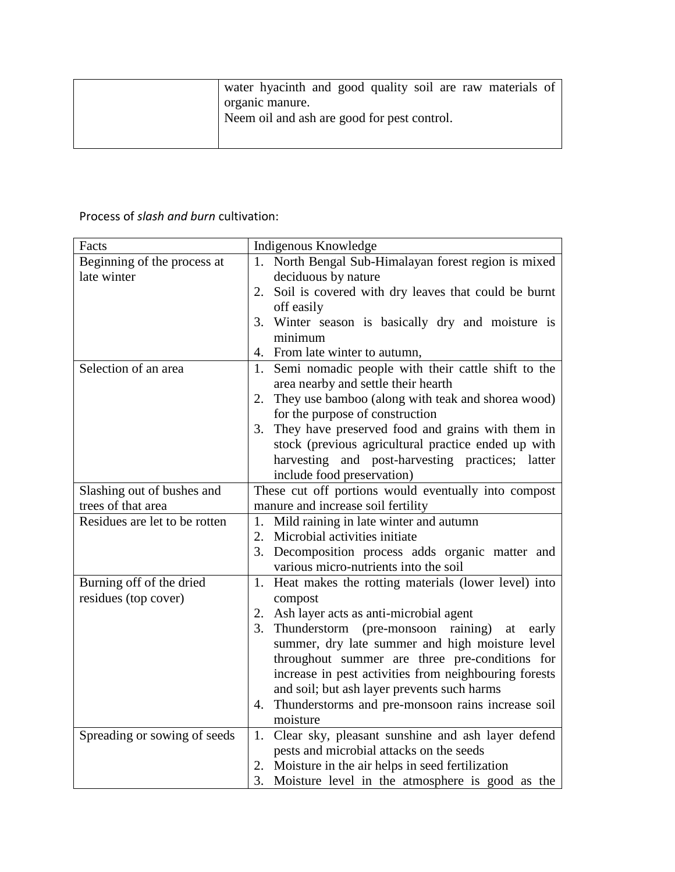| water hyacinth and good quality soil are raw materials of |
|-----------------------------------------------------------|
| organic manure.                                           |
| Neem oil and ash are good for pest control.               |
|                                                           |

## Process of *slash and burn* cultivation:

| Facts                         | Indigenous Knowledge                                       |
|-------------------------------|------------------------------------------------------------|
| Beginning of the process at   | North Bengal Sub-Himalayan forest region is mixed<br>1.    |
| late winter                   | deciduous by nature                                        |
|                               | Soil is covered with dry leaves that could be burnt<br>2.  |
|                               | off easily                                                 |
|                               | 3. Winter season is basically dry and moisture is          |
|                               | minimum                                                    |
|                               | From late winter to autumn,<br>4.                          |
| Selection of an area          | Semi nomadic people with their cattle shift to the<br>1.   |
|                               | area nearby and settle their hearth                        |
|                               | 2. They use bamboo (along with teak and shorea wood)       |
|                               | for the purpose of construction                            |
|                               | 3. They have preserved food and grains with them in        |
|                               | stock (previous agricultural practice ended up with        |
|                               | harvesting and post-harvesting practices; latter           |
|                               | include food preservation)                                 |
| Slashing out of bushes and    | These cut off portions would eventually into compost       |
| trees of that area            | manure and increase soil fertility                         |
| Residues are let to be rotten | 1. Mild raining in late winter and autumn                  |
|                               | 2. Microbial activities initiate                           |
|                               | 3. Decomposition process adds organic matter and           |
|                               | various micro-nutrients into the soil                      |
| Burning off of the dried      | Heat makes the rotting materials (lower level) into<br>1.  |
| residues (top cover)          | compost                                                    |
|                               | Ash layer acts as anti-microbial agent<br>2.               |
|                               | 3.<br>Thunderstorm (pre-monsoon<br>raining)<br>at<br>early |
|                               | summer, dry late summer and high moisture level            |
|                               | throughout summer are three pre-conditions for             |
|                               | increase in pest activities from neighbouring forests      |
|                               | and soil; but ash layer prevents such harms                |
|                               | 4. Thunderstorms and pre-monsoon rains increase soil       |
|                               | moisture                                                   |
| Spreading or sowing of seeds  | 1. Clear sky, pleasant sunshine and ash layer defend       |
|                               | pests and microbial attacks on the seeds                   |
|                               | Moisture in the air helps in seed fertilization<br>2.      |
|                               | 3.<br>Moisture level in the atmosphere is good as the      |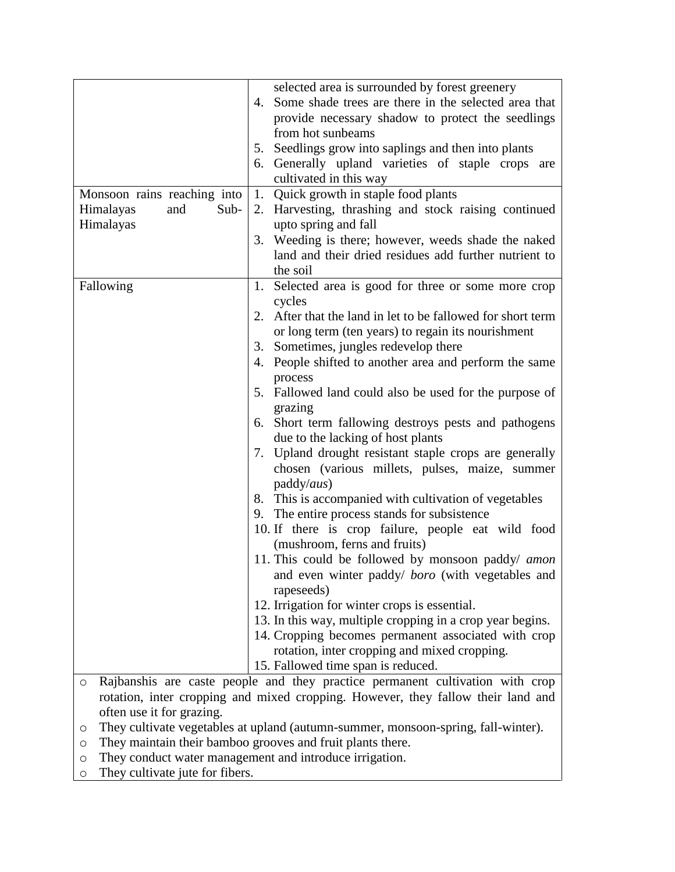|                             | selected area is surrounded by forest greenery                                    |
|-----------------------------|-----------------------------------------------------------------------------------|
|                             | 4. Some shade trees are there in the selected area that                           |
|                             |                                                                                   |
|                             | provide necessary shadow to protect the seedlings                                 |
|                             | from hot sunbeams                                                                 |
|                             | 5. Seedlings grow into saplings and then into plants                              |
|                             | 6. Generally upland varieties of staple crops are                                 |
|                             | cultivated in this way                                                            |
| Monsoon rains reaching into | 1.<br>Quick growth in staple food plants                                          |
| Sub-<br>Himalayas<br>and    | 2. Harvesting, thrashing and stock raising continued                              |
| Himalayas                   | upto spring and fall                                                              |
|                             | 3. Weeding is there; however, weeds shade the naked                               |
|                             | land and their dried residues add further nutrient to                             |
|                             | the soil                                                                          |
| Fallowing                   | 1. Selected area is good for three or some more crop                              |
|                             | cycles                                                                            |
|                             | 2. After that the land in let to be fallowed for short term                       |
|                             | or long term (ten years) to regain its nourishment                                |
|                             | 3. Sometimes, jungles redevelop there                                             |
|                             | 4. People shifted to another area and perform the same                            |
|                             | process                                                                           |
|                             | 5. Fallowed land could also be used for the purpose of                            |
|                             | grazing                                                                           |
|                             | 6. Short term fallowing destroys pests and pathogens                              |
|                             | due to the lacking of host plants                                                 |
|                             | 7. Upland drought resistant staple crops are generally                            |
|                             | chosen (various millets, pulses, maize, summer                                    |
|                             | paddy/aus)                                                                        |
|                             | 8. This is accompanied with cultivation of vegetables                             |
|                             | 9. The entire process stands for subsistence                                      |
|                             |                                                                                   |
|                             | 10. If there is crop failure, people eat wild food                                |
|                             | (mushroom, ferns and fruits)                                                      |
|                             | 11. This could be followed by monsoon paddy/ amon                                 |
|                             | and even winter paddy/ boro (with vegetables and                                  |
|                             | rapeseeds)                                                                        |
|                             | 12. Irrigation for winter crops is essential.                                     |
|                             | 13. In this way, multiple cropping in a crop year begins.                         |
|                             | 14. Cropping becomes permanent associated with crop                               |
|                             | rotation, inter cropping and mixed cropping.                                      |
|                             | 15. Fallowed time span is reduced.                                                |
| $\circ$                     | Rajbanshis are caste people and they practice permanent cultivation with crop     |
|                             | rotation, inter cropping and mixed cropping. However, they fallow their land and  |
| often use it for grazing.   |                                                                                   |
| O                           | They cultivate vegetables at upland (autumn-summer, monsoon-spring, fall-winter). |
| O                           | They maintain their bamboo grooves and fruit plants there.                        |

o They conduct water management and introduce irrigation.

o They cultivate jute for fibers.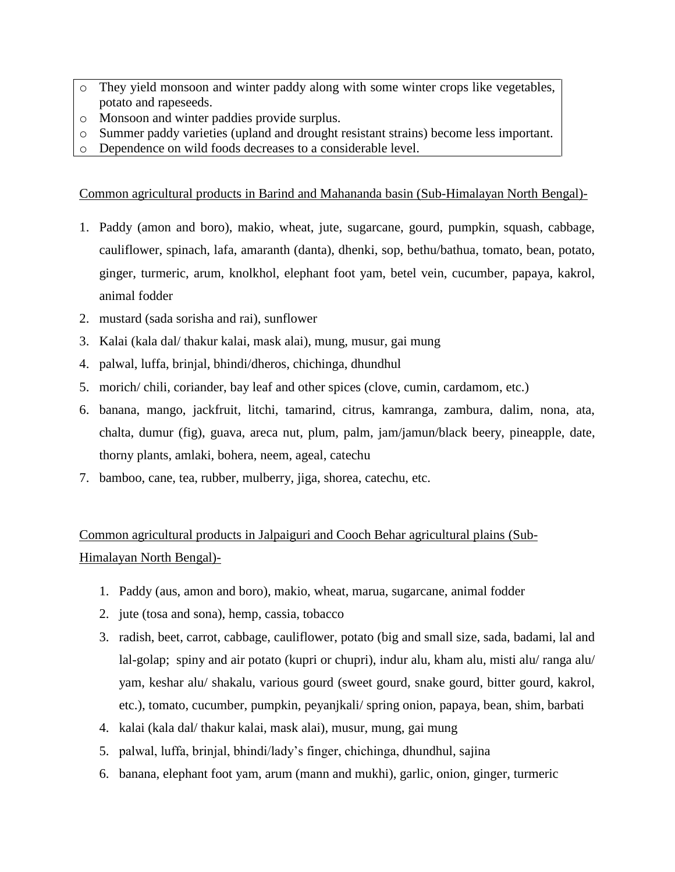- o They yield monsoon and winter paddy along with some winter crops like vegetables, potato and rapeseeds.
- Monsoon and winter paddies provide surplus.
- o Summer paddy varieties (upland and drought resistant strains) become less important.
- o Dependence on wild foods decreases to a considerable level.

Common agricultural products in Barind and Mahananda basin (Sub-Himalayan North Bengal)-

- 1. Paddy (amon and boro), makio, wheat, jute, sugarcane, gourd, pumpkin, squash, cabbage, cauliflower, spinach, lafa, amaranth (danta), dhenki, sop, bethu/bathua, tomato, bean, potato, ginger, turmeric, arum, knolkhol, elephant foot yam, betel vein, cucumber, papaya, kakrol, animal fodder
- 2. mustard (sada sorisha and rai), sunflower
- 3. Kalai (kala dal/ thakur kalai, mask alai), mung, musur, gai mung
- 4. palwal, luffa, brinjal, bhindi/dheros, chichinga, dhundhul
- 5. morich/ chili, coriander, bay leaf and other spices (clove, cumin, cardamom, etc.)
- 6. banana, mango, jackfruit, litchi, tamarind, citrus, kamranga, zambura, dalim, nona, ata, chalta, dumur (fig), guava, areca nut, plum, palm, jam/jamun/black beery, pineapple, date, thorny plants, amlaki, bohera, neem, ageal, catechu
- 7. bamboo, cane, tea, rubber, mulberry, jiga, shorea, catechu, etc.

# Common agricultural products in Jalpaiguri and Cooch Behar agricultural plains (Sub-Himalayan North Bengal)-

- 1. Paddy (aus, amon and boro), makio, wheat, marua, sugarcane, animal fodder
- 2. jute (tosa and sona), hemp, cassia, tobacco
- 3. radish, beet, carrot, cabbage, cauliflower, potato (big and small size, sada, badami, lal and lal-golap; spiny and air potato (kupri or chupri), indur alu, kham alu, misti alu/ ranga alu/ yam, keshar alu/ shakalu, various gourd (sweet gourd, snake gourd, bitter gourd, kakrol, etc.), tomato, cucumber, pumpkin, peyanjkali/ spring onion, papaya, bean, shim, barbati
- 4. kalai (kala dal/ thakur kalai, mask alai), musur, mung, gai mung
- 5. palwal, luffa, brinjal, bhindi/lady's finger, chichinga, dhundhul, sajina
- 6. banana, elephant foot yam, arum (mann and mukhi), garlic, onion, ginger, turmeric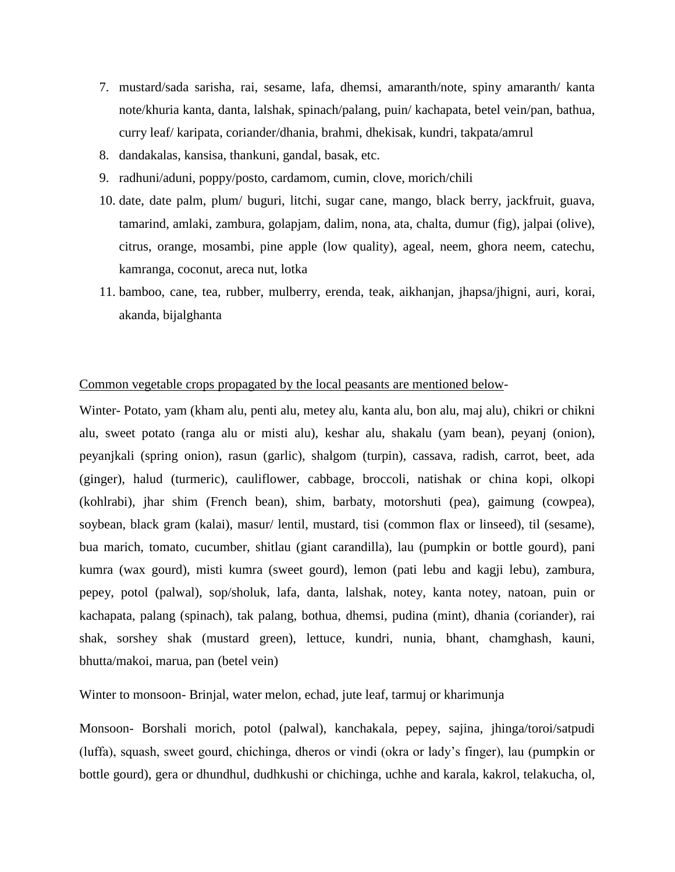- 7. mustard/sada sarisha, rai, sesame, lafa, dhemsi, amaranth/note, spiny amaranth/ kanta note/khuria kanta, danta, lalshak, spinach/palang, puin/ kachapata, betel vein/pan, bathua, curry leaf/ karipata, coriander/dhania, brahmi, dhekisak, kundri, takpata/amrul
- 8. dandakalas, kansisa, thankuni, gandal, basak, etc.
- 9. radhuni/aduni, poppy/posto, cardamom, cumin, clove, morich/chili
- 10. date, date palm, plum/ buguri, litchi, sugar cane, mango, black berry, jackfruit, guava, tamarind, amlaki, zambura, golapjam, dalim, nona, ata, chalta, dumur (fig), jalpai (olive), citrus, orange, mosambi, pine apple (low quality), ageal, neem, ghora neem, catechu, kamranga, coconut, areca nut, lotka
- 11. bamboo, cane, tea, rubber, mulberry, erenda, teak, aikhanjan, jhapsa/jhigni, auri, korai, akanda, bijalghanta

#### Common vegetable crops propagated by the local peasants are mentioned below-

Winter- Potato, yam (kham alu, penti alu, metey alu, kanta alu, bon alu, maj alu), chikri or chikni alu, sweet potato (ranga alu or misti alu), keshar alu, shakalu (yam bean), peyanj (onion), peyanjkali (spring onion), rasun (garlic), shalgom (turpin), cassava, radish, carrot, beet, ada (ginger), halud (turmeric), cauliflower, cabbage, broccoli, natishak or china kopi, olkopi (kohlrabi), jhar shim (French bean), shim, barbaty, motorshuti (pea), gaimung (cowpea), soybean, black gram (kalai), masur/ lentil, mustard, tisi (common flax or linseed), til (sesame), bua marich, tomato, cucumber, shitlau (giant carandilla), lau (pumpkin or bottle gourd), pani kumra (wax gourd), misti kumra (sweet gourd), lemon (pati lebu and kagji lebu), zambura, pepey, potol (palwal), sop/sholuk, lafa, danta, lalshak, notey, kanta notey, natoan, puin or kachapata, palang (spinach), tak palang, bothua, dhemsi, pudina (mint), dhania (coriander), rai shak, sorshey shak (mustard green), lettuce, kundri, nunia, bhant, chamghash, kauni, bhutta/makoi, marua, pan (betel vein)

Winter to monsoon- Brinjal, water melon, echad, jute leaf, tarmuj or kharimunja

Monsoon- Borshali morich, potol (palwal), kanchakala, pepey, sajina, jhinga/toroi/satpudi (luffa), squash, sweet gourd, chichinga, dheros or vindi (okra or lady's finger), lau (pumpkin or bottle gourd), gera or dhundhul, dudhkushi or chichinga, uchhe and karala, kakrol, telakucha, ol,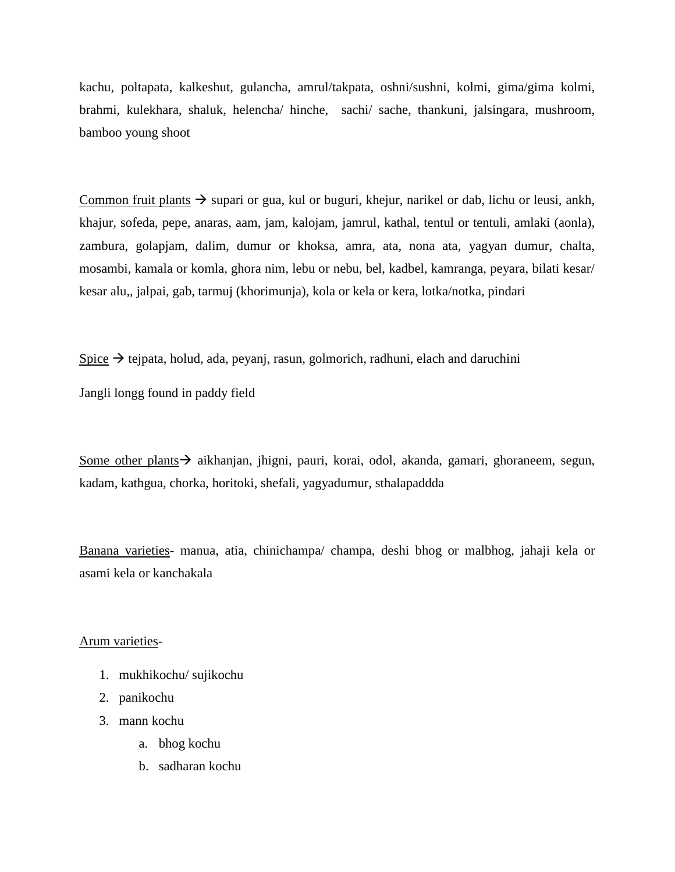kachu, poltapata, kalkeshut, gulancha, amrul/takpata, oshni/sushni, kolmi, gima/gima kolmi, brahmi, kulekhara, shaluk, helencha/ hinche, sachi/ sache, thankuni, jalsingara, mushroom, bamboo young shoot

Common fruit plants  $\rightarrow$  supari or gua, kul or buguri, khejur, narikel or dab, lichu or leusi, ankh, khajur, sofeda, pepe, anaras, aam, jam, kalojam, jamrul, kathal, tentul or tentuli, amlaki (aonla), zambura, golapjam, dalim, dumur or khoksa, amra, ata, nona ata, yagyan dumur, chalta, mosambi, kamala or komla, ghora nim, lebu or nebu, bel, kadbel, kamranga, peyara, bilati kesar/ kesar alu,, jalpai, gab, tarmuj (khorimunja), kola or kela or kera, lotka/notka, pindari

Spice  $\rightarrow$  tejpata, holud, ada, peyanj, rasun, golmorich, radhuni, elach and daruchini

Jangli longg found in paddy field

Some other plants  $\rightarrow$  aikhanjan, jhigni, pauri, korai, odol, akanda, gamari, ghoraneem, segun, kadam, kathgua, chorka, horitoki, shefali, yagyadumur, sthalapaddda

Banana varieties- manua, atia, chinichampa/ champa, deshi bhog or malbhog, jahaji kela or asami kela or kanchakala

Arum varieties-

- 1. mukhikochu/ sujikochu
- 2. panikochu
- 3. mann kochu
	- a. bhog kochu
	- b. sadharan kochu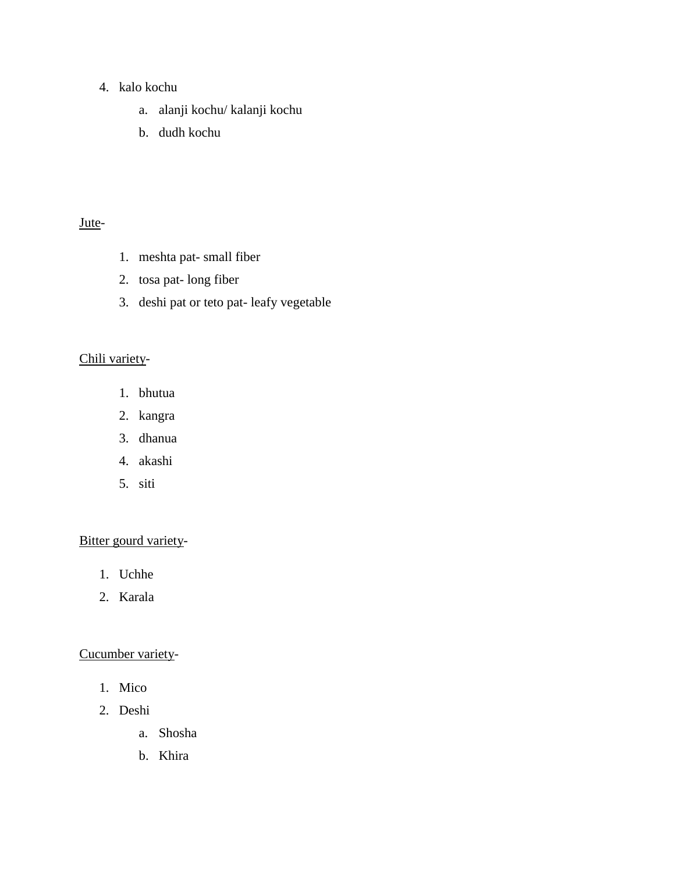### 4. kalo kochu

- a. alanji kochu/ kalanji kochu
- b. dudh kochu

### Jute-

- 1. meshta pat- small fiber
- 2. tosa pat- long fiber
- 3. deshi pat or teto pat- leafy vegetable

## Chili variety-

- 1. bhutua
- 2. kangra
- 3. dhanua
- 4. akashi
- 5. siti

## Bitter gourd variety-

- 1. Uchhe
- 2. Karala

#### Cucumber variety-

- 1. Mico
- 2. Deshi
	- a. Shosha
	- b. Khira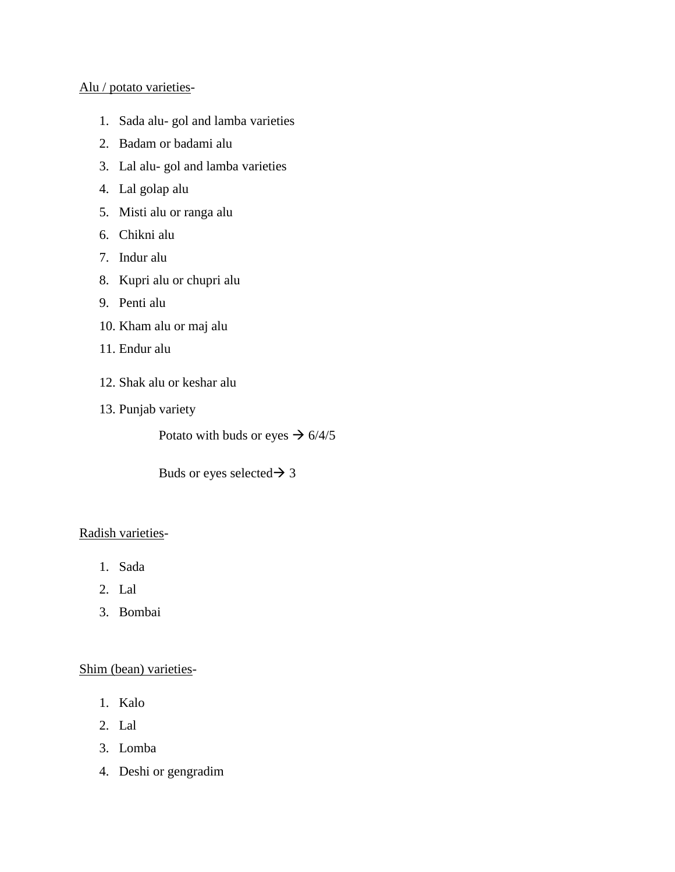#### Alu / potato varieties-

- 1. Sada alu- gol and lamba varieties
- 2. Badam or badami alu
- 3. Lal alu- gol and lamba varieties
- 4. Lal golap alu
- 5. Misti alu or ranga alu
- 6. Chikni alu
- 7. Indur alu
- 8. Kupri alu or chupri alu
- 9. Penti alu
- 10. Kham alu or maj alu
- 11. Endur alu
- 12. Shak alu or keshar alu
- 13. Punjab variety

Potato with buds or eyes  $\rightarrow$  6/4/5

Buds or eyes selected  $\rightarrow$  3

#### Radish varieties-

- 1. Sada
- 2. Lal
- 3. Bombai

#### Shim (bean) varieties-

- 1. Kalo
- 2. Lal
- 3. Lomba
- 4. Deshi or gengradim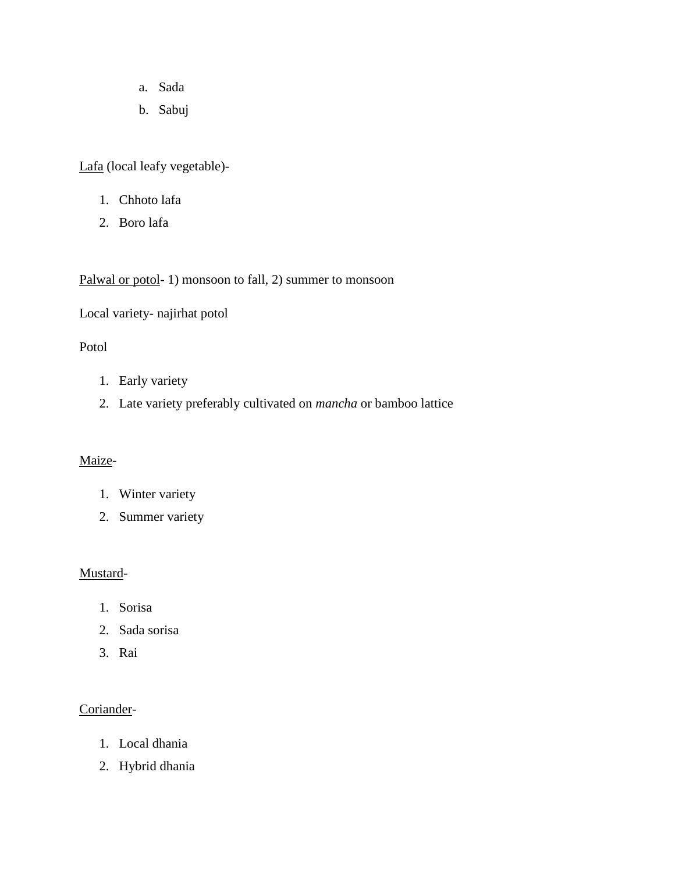- a. Sada
- b. Sabuj

Lafa (local leafy vegetable)-

- 1. Chhoto lafa
- 2. Boro lafa

Palwal or potol- 1) monsoon to fall, 2) summer to monsoon

Local variety- najirhat potol

### Potol

- 1. Early variety
- 2. Late variety preferably cultivated on *mancha* or bamboo lattice

#### Maize-

- 1. Winter variety
- 2. Summer variety

### Mustard-

- 1. Sorisa
- 2. Sada sorisa
- 3. Rai

### Coriander-

- 1. Local dhania
- 2. Hybrid dhania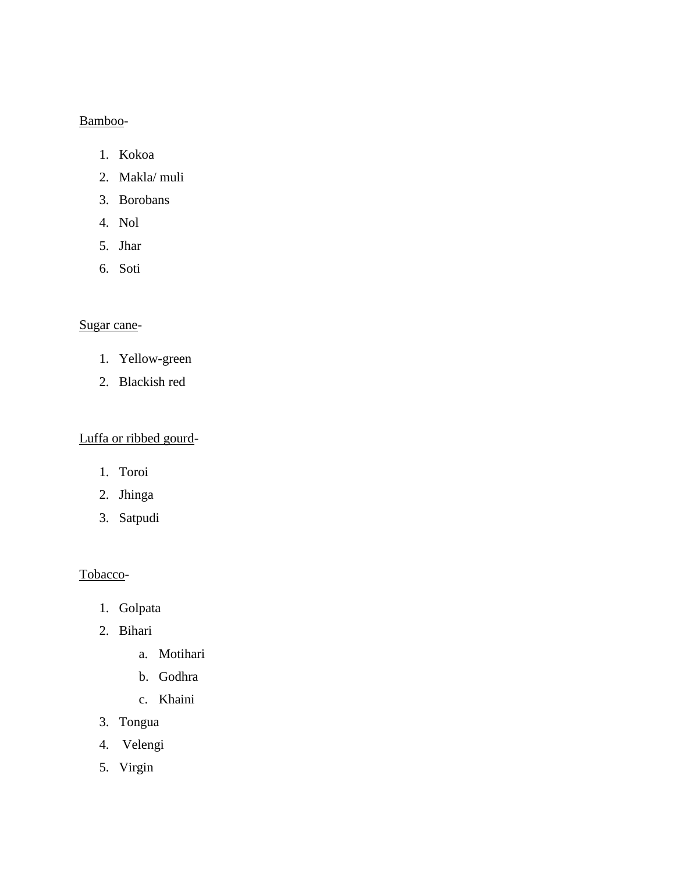### Bamboo-

- 1. Kokoa
- 2. Makla/ muli
- 3. Borobans
- 4. Nol
- 5. Jhar
- 6. Soti

### Sugar cane-

- 1. Yellow-green
- 2. Blackish red

## Luffa or ribbed gourd-

- 1. Toroi
- 2. Jhinga
- 3. Satpudi

### Tobacco-

- 1. Golpata
- 2. Bihari
	- a. Motihari
	- b. Godhra
	- c. Khaini
- 3. Tongua
- 4. Velengi
- 5. Virgin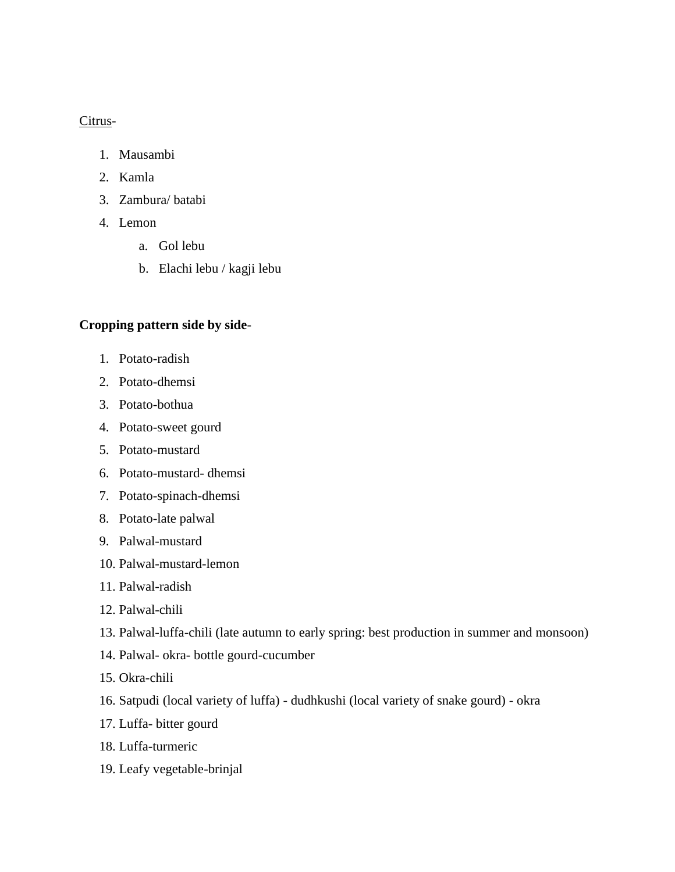#### Citrus-

- 1. Mausambi
- 2. Kamla
- 3. Zambura/ batabi
- 4. Lemon
	- a. Gol lebu
	- b. Elachi lebu / kagji lebu

#### **Cropping pattern side by side**-

- 1. Potato-radish
- 2. Potato-dhemsi
- 3. Potato-bothua
- 4. Potato-sweet gourd
- 5. Potato-mustard
- 6. Potato-mustard- dhemsi
- 7. Potato-spinach-dhemsi
- 8. Potato-late palwal
- 9. Palwal-mustard
- 10. Palwal-mustard-lemon
- 11. Palwal-radish
- 12. Palwal-chili
- 13. Palwal-luffa-chili (late autumn to early spring: best production in summer and monsoon)
- 14. Palwal- okra- bottle gourd-cucumber
- 15. Okra-chili
- 16. Satpudi (local variety of luffa) dudhkushi (local variety of snake gourd) okra
- 17. Luffa- bitter gourd
- 18. Luffa-turmeric
- 19. Leafy vegetable-brinjal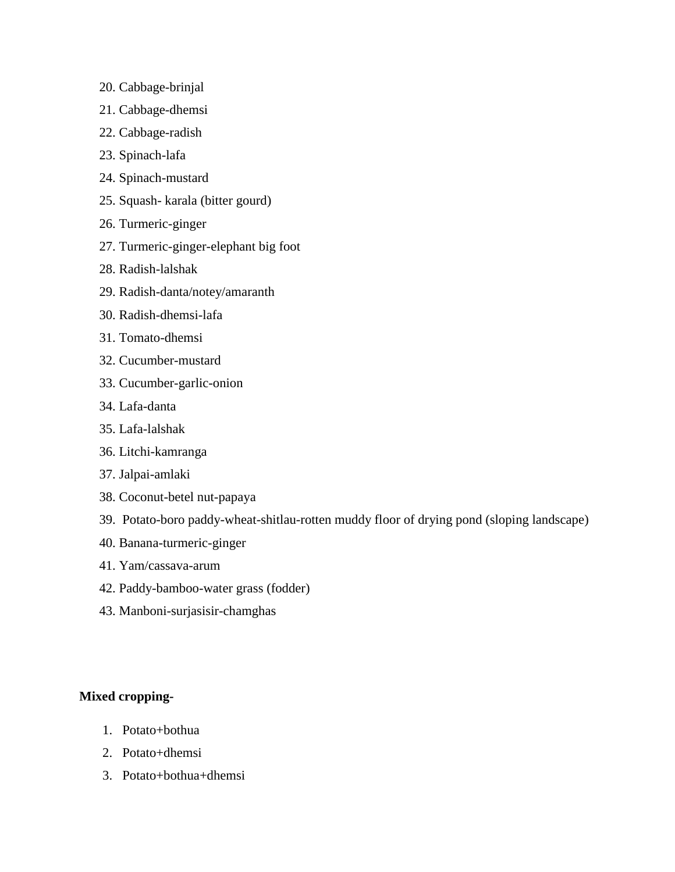- 20. Cabbage-brinjal
- 21. Cabbage-dhemsi
- 22. Cabbage-radish
- 23. Spinach-lafa
- 24. Spinach-mustard
- 25. Squash- karala (bitter gourd)
- 26. Turmeric-ginger
- 27. Turmeric-ginger-elephant big foot
- 28. Radish-lalshak
- 29. Radish-danta/notey/amaranth
- 30. Radish-dhemsi-lafa
- 31. Tomato-dhemsi
- 32. Cucumber-mustard
- 33. Cucumber-garlic-onion
- 34. Lafa-danta
- 35. Lafa-lalshak
- 36. Litchi-kamranga
- 37. Jalpai-amlaki
- 38. Coconut-betel nut-papaya
- 39. Potato-boro paddy-wheat-shitlau-rotten muddy floor of drying pond (sloping landscape)
- 40. Banana-turmeric-ginger
- 41. Yam/cassava-arum
- 42. Paddy-bamboo-water grass (fodder)
- 43. Manboni-surjasisir-chamghas

#### **Mixed cropping-**

- 1. Potato+bothua
- 2. Potato+dhemsi
- 3. Potato+bothua+dhemsi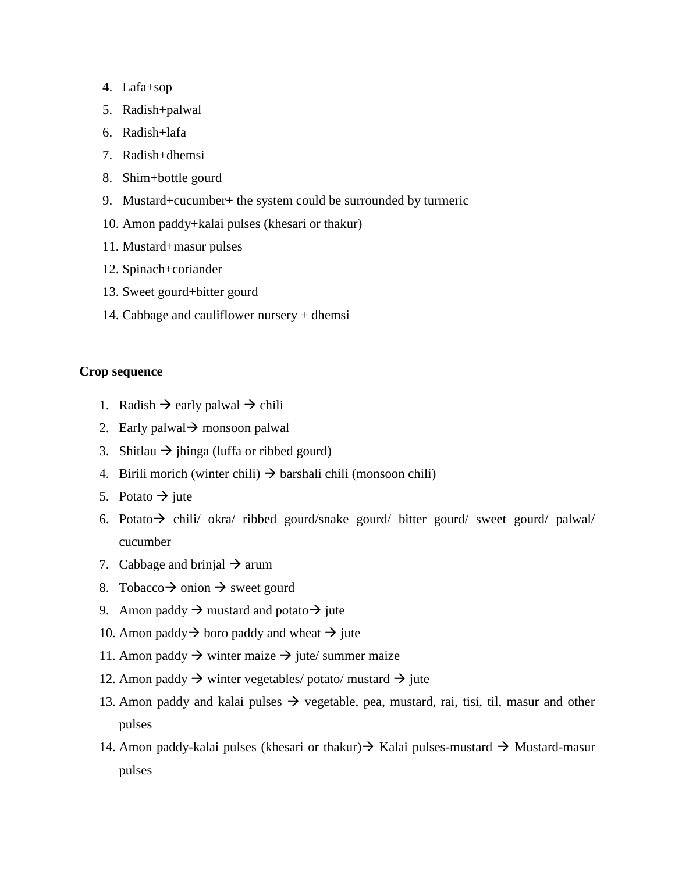- 4. Lafa+sop
- 5. Radish+palwal
- 6. Radish+lafa
- 7. Radish+dhemsi
- 8. Shim+bottle gourd
- 9. Mustard+cucumber+ the system could be surrounded by turmeric
- 10. Amon paddy+kalai pulses (khesari or thakur)
- 11. Mustard+masur pulses
- 12. Spinach+coriander
- 13. Sweet gourd+bitter gourd
- 14. Cabbage and cauliflower nursery + dhemsi

#### **Crop sequence**

- 1. Radish  $\rightarrow$  early palwal  $\rightarrow$  chili
- 2. Early palwal  $\rightarrow$  monsoon palwal
- 3. Shitlau  $\rightarrow$  jhinga (luffa or ribbed gourd)
- 4. Birili morich (winter chili)  $\rightarrow$  barshali chili (monsoon chili)
- 5. Potato  $\rightarrow$  jute
- 6. Potato  $\rightarrow$  chili/ okra/ ribbed gourd/snake gourd/ bitter gourd/ sweet gourd/ palwal/ cucumber
- 7. Cabbage and brinjal  $\rightarrow$  arum
- 8. Tobacco  $\rightarrow$  onion  $\rightarrow$  sweet gourd
- 9. Amon paddy  $\rightarrow$  mustard and potato  $\rightarrow$  jute
- 10. Amon paddy  $\rightarrow$  boro paddy and wheat  $\rightarrow$  jute
- 11. Amon paddy  $\rightarrow$  winter maize  $\rightarrow$  jute/ summer maize
- 12. Amon paddy  $\rightarrow$  winter vegetables/ potato/ mustard  $\rightarrow$  jute
- 13. Amon paddy and kalai pulses  $\rightarrow$  vegetable, pea, mustard, rai, tisi, til, masur and other pulses
- 14. Amon paddy-kalai pulses (khesari or thakur)  $\rightarrow$  Kalai pulses-mustard  $\rightarrow$  Mustard-masur pulses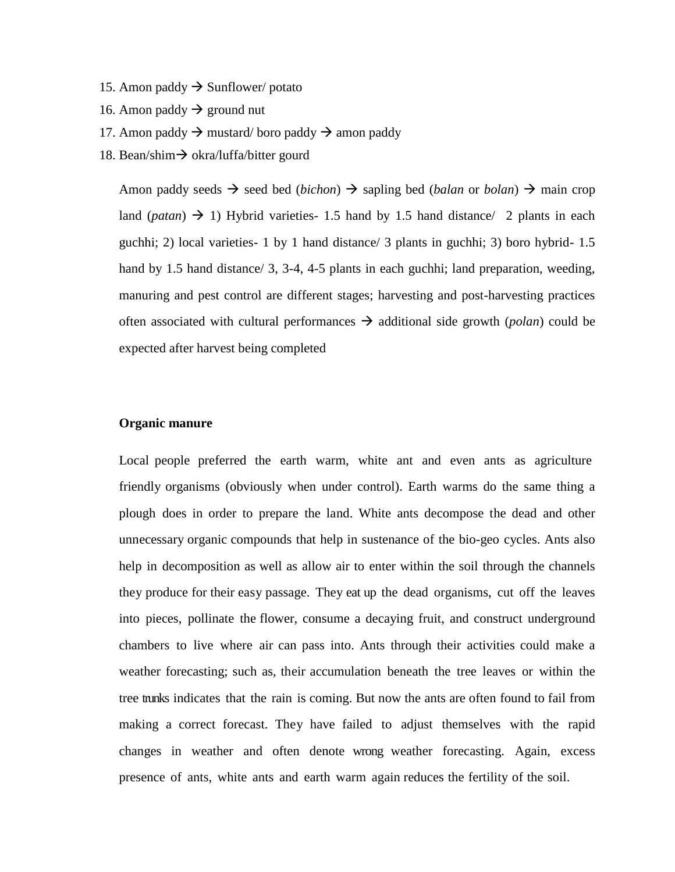- 15. Amon paddy  $\rightarrow$  Sunflower/ potato
- 16. Amon paddy  $\rightarrow$  ground nut
- 17. Amon paddy  $\rightarrow$  mustard/ boro paddy  $\rightarrow$  amon paddy
- 18. Bean/shim  $\rightarrow$  okra/luffa/bitter gourd

Amon paddy seeds  $\rightarrow$  seed bed (*bichon*)  $\rightarrow$  sapling bed (*balan* or *bolan*)  $\rightarrow$  main crop land (*patan*)  $\rightarrow$  1) Hybrid varieties- 1.5 hand by 1.5 hand distance/ 2 plants in each guchhi; 2) local varieties- 1 by 1 hand distance/ 3 plants in guchhi; 3) boro hybrid- 1.5 hand by 1.5 hand distance/ 3, 3-4, 4-5 plants in each guchhi; land preparation, weeding, manuring and pest control are different stages; harvesting and post-harvesting practices often associated with cultural performances  $\rightarrow$  additional side growth (*polan*) could be expected after harvest being completed

#### **Organic manure**

Local people preferred the earth warm, white ant and even ants as agriculture friendly organisms (obviously when under control). Earth warms do the same thing a plough does in order to prepare the land. White ants decompose the dead and other unnecessary organic compounds that help in sustenance of the bio-geo cycles. Ants also help in decomposition as well as allow air to enter within the soil through the channels they produce for their easy passage. They eat up the dead organisms, cut off the leaves into pieces, pollinate the flower, consume a decaying fruit, and construct underground chambers to live where air can pass into. Ants through their activities could make a weather forecasting; such as, their accumulation beneath the tree leaves or within the tree trunks indicates that the rain is coming. But now the ants are often found to fail from making a correct forecast. They have failed to adjust themselves with the rapid changes in weather and often denote wrong weather forecasting. Again, excess presence of ants, white ants and earth warm again reduces the fertility of the soil.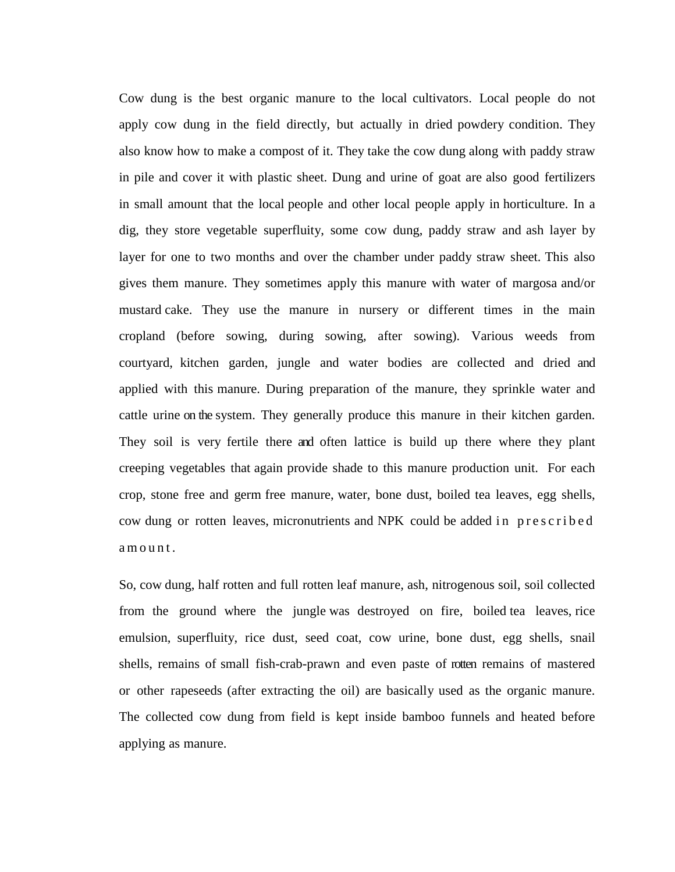Cow dung is the best organic manure to the local cultivators. Local people do not apply cow dung in the field directly, but actually in dried powdery condition. They also know how to make a compost of it. They take the cow dung along with paddy straw in pile and cover it with plastic sheet. Dung and urine of goat are also good fertilizers in small amount that the local people and other local people apply in horticulture. In a dig, they store vegetable superfluity, some cow dung, paddy straw and ash layer by layer for one to two months and over the chamber under paddy straw sheet. This also gives them manure. They sometimes apply this manure with water of margosa and/or mustard cake. They use the manure in nursery or different times in the main cropland (before sowing, during sowing, after sowing). Various weeds from courtyard, kitchen garden, jungle and water bodies are collected and dried and applied with this manure. During preparation of the manure, they sprinkle water and cattle urine on the system. They generally produce this manure in their kitchen garden. They soil is very fertile there and often lattice is build up there where they plant creeping vegetables that again provide shade to this manure production unit. For each crop, stone free and germ free manure, water, bone dust, boiled tea leaves, egg shells, cow dung or rotten leaves, micronutrients and NPK could be added in prescribed a m o u n t .

So, cow dung, half rotten and full rotten leaf manure, ash, nitrogenous soil, soil collected from the ground where the jungle was destroyed on fire, boiled tea leaves, rice emulsion, superfluity, rice dust, seed coat, cow urine, bone dust, egg shells, snail shells, remains of small fish-crab-prawn and even paste of rotten remains of mastered or other rapeseeds (after extracting the oil) are basically used as the organic manure. The collected cow dung from field is kept inside bamboo funnels and heated before applying as manure.